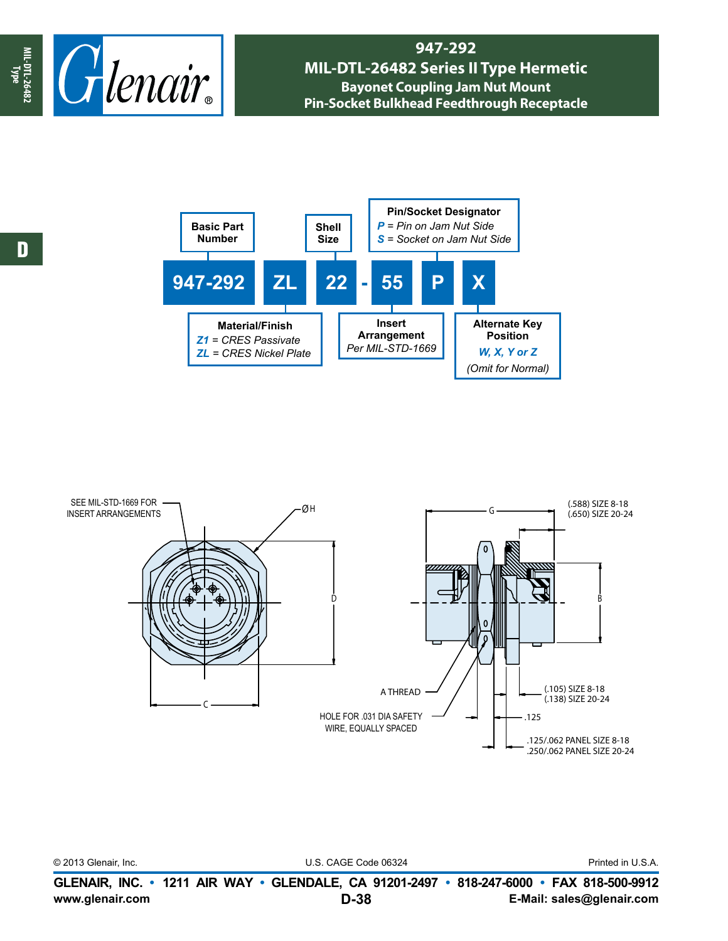

## **947-292 MIL-DTL-26482 Series II Type Hermetic Bayonet Coupling Jam Nut Mount Pin-Socket Bulkhead Feedthrough Receptacle**





|                      | GLENAIR, INC. • 1211 AIR WAY • GLENDALE, CA 91201-2497 • 818-247-6000 • FAX 818-500-9912 |  |  |
|----------------------|------------------------------------------------------------------------------------------|--|--|
| © 2013 Glenair, Inc. | Printed in U.S.A.                                                                        |  |  |
|                      |                                                                                          |  |  |

**www.glenair.com E-Mail: sales@glenair.com**